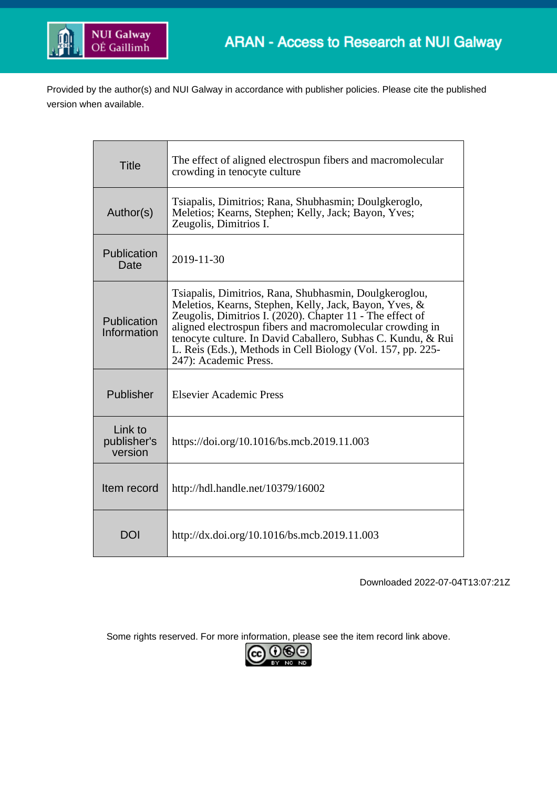

Provided by the author(s) and NUI Galway in accordance with publisher policies. Please cite the published version when available.

| <b>Title</b>                      | The effect of aligned electrospun fibers and macromolecular<br>crowding in tenocyte culture                                                                                                                                                                                                                                                                                                        |
|-----------------------------------|----------------------------------------------------------------------------------------------------------------------------------------------------------------------------------------------------------------------------------------------------------------------------------------------------------------------------------------------------------------------------------------------------|
| Author(s)                         | Tsiapalis, Dimitrios; Rana, Shubhasmin; Doulgkeroglo,<br>Meletios; Kearns, Stephen; Kelly, Jack; Bayon, Yves;<br>Zeugolis, Dimitrios I.                                                                                                                                                                                                                                                            |
| Publication<br>Date               | 2019-11-30                                                                                                                                                                                                                                                                                                                                                                                         |
| Publication<br>Information        | Tsiapalis, Dimitrios, Rana, Shubhasmin, Doulgkeroglou,<br>Meletios, Kearns, Stephen, Kelly, Jack, Bayon, Yves, &<br>Zeugolis, Dimitrios I. (2020). Chapter 11 - The effect of<br>aligned electrospun fibers and macromolecular crowding in<br>tenocyte culture. In David Caballero, Subhas C. Kundu, & Rui<br>L. Reis (Eds.), Methods in Cell Biology (Vol. 157, pp. 225-<br>247): Academic Press. |
| Publisher                         | <b>Elsevier Academic Press</b>                                                                                                                                                                                                                                                                                                                                                                     |
| Link to<br>publisher's<br>version | https://doi.org/10.1016/bs.mcb.2019.11.003                                                                                                                                                                                                                                                                                                                                                         |
| Item record                       | http://hdl.handle.net/10379/16002                                                                                                                                                                                                                                                                                                                                                                  |
| <b>DOI</b>                        | http://dx.doi.org/10.1016/bs.mcb.2019.11.003                                                                                                                                                                                                                                                                                                                                                       |

Downloaded 2022-07-04T13:07:21Z

Some rights reserved. For more information, please see the item record link above.

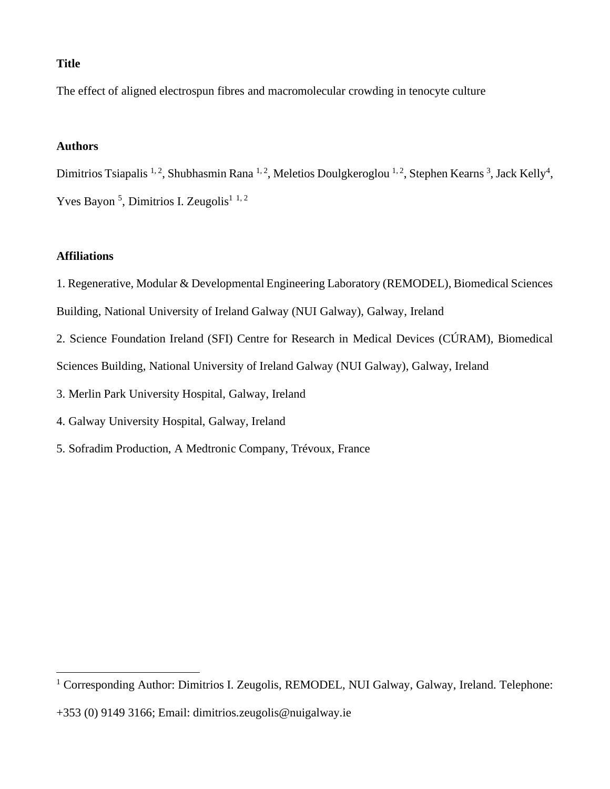# **Title**

The effect of aligned electrospun fibres and macromolecular crowding in tenocyte culture

# **Authors**

Dimitrios Tsiapalis <sup>1, 2</sup>, Shubhasmin Rana <sup>1, 2</sup>, Meletios Doulgkeroglou <sup>1, 2</sup>, Stephen Kearns <sup>3</sup>, Jack Kelly<sup>4</sup>, Yves Bayon<sup>5</sup>, Dimitrios I. Zeugolis<sup>1</sup><sup>1,2</sup>

# **Affiliations**

1. Regenerative, Modular & Developmental Engineering Laboratory (REMODEL), Biomedical Sciences

Building, National University of Ireland Galway (NUI Galway), Galway, Ireland

2. Science Foundation Ireland (SFI) Centre for Research in Medical Devices (CÚRAM), Biomedical

Sciences Building, National University of Ireland Galway (NUI Galway), Galway, Ireland

- 3. Merlin Park University Hospital, Galway, Ireland
- 4. Galway University Hospital, Galway, Ireland
- 5. Sofradim Production, A Medtronic Company, Trévoux, France

<sup>&</sup>lt;sup>1</sup> Corresponding Author: Dimitrios I. Zeugolis, REMODEL, NUI Galway, Galway, Ireland. Telephone:

<sup>+353 (0) 9149 3166;</sup> Email: dimitrios.zeugolis@nuigalway.ie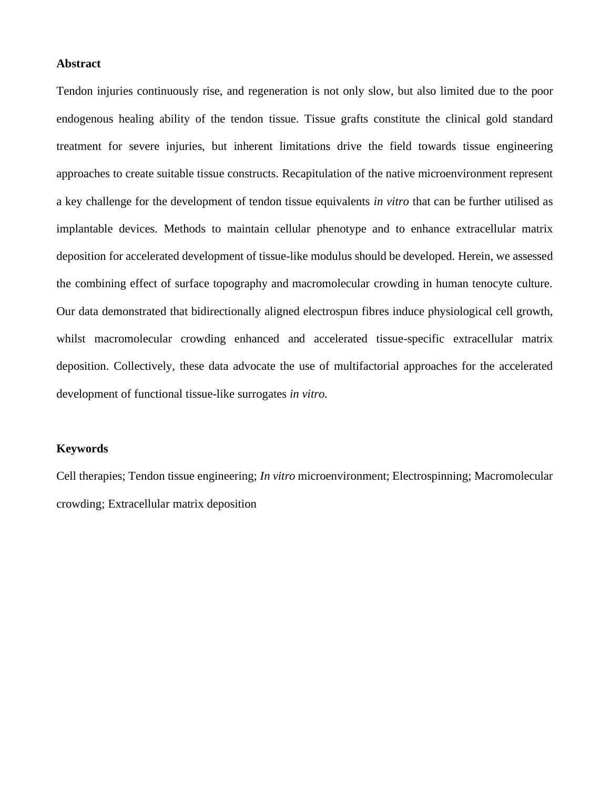#### **Abstract**

Tendon injuries continuously rise, and regeneration is not only slow, but also limited due to the poor endogenous healing ability of the tendon tissue. Tissue grafts constitute the clinical gold standard treatment for severe injuries, but inherent limitations drive the field towards tissue engineering approaches to create suitable tissue constructs. Recapitulation of the native microenvironment represent a key challenge for the development of tendon tissue equivalents *in vitro* that can be further utilised as implantable devices. Methods to maintain cellular phenotype and to enhance extracellular matrix deposition for accelerated development of tissue-like modulus should be developed. Herein, we assessed the combining effect of surface topography and macromolecular crowding in human tenocyte culture. Our data demonstrated that bidirectionally aligned electrospun fibres induce physiological cell growth, whilst macromolecular crowding enhanced and accelerated tissue-specific extracellular matrix deposition. Collectively, these data advocate the use of multifactorial approaches for the accelerated development of functional tissue-like surrogates *in vitro.*

#### **Keywords**

Cell therapies; Tendon tissue engineering; *In vitro* microenvironment; Electrospinning; Macromolecular crowding; Extracellular matrix deposition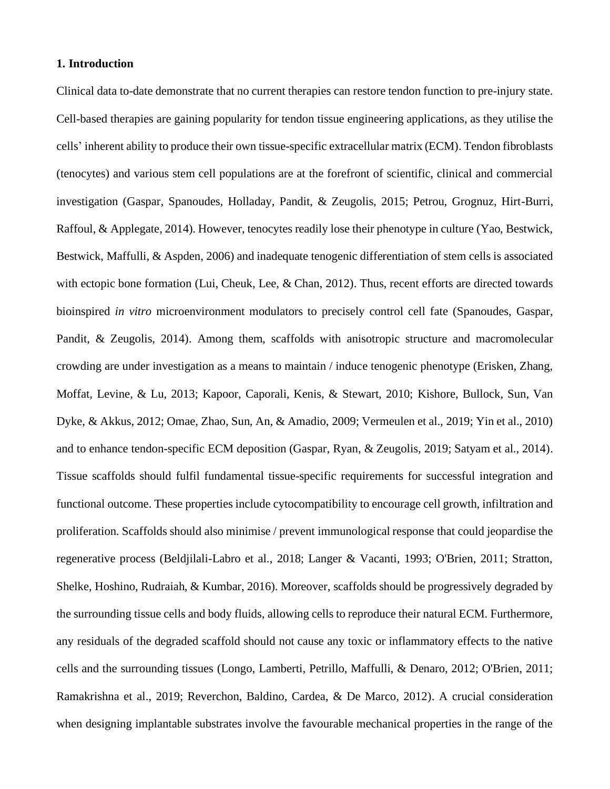#### **1. Introduction**

Clinical data to-date demonstrate that no current therapies can restore tendon function to pre-injury state. Cell-based therapies are gaining popularity for tendon tissue engineering applications, as they utilise the cells' inherent ability to produce their own tissue-specific extracellular matrix (ECM). Tendon fibroblasts (tenocytes) and various stem cell populations are at the forefront of scientific, clinical and commercial investigation (Gaspar, Spanoudes, Holladay, Pandit, & Zeugolis, 2015; Petrou, Grognuz, Hirt-Burri, Raffoul, & Applegate, 2014). However, tenocytes readily lose their phenotype in culture (Yao, Bestwick, Bestwick, Maffulli, & Aspden, 2006) and inadequate tenogenic differentiation of stem cells is associated with ectopic bone formation (Lui, Cheuk, Lee, & Chan, 2012). Thus, recent efforts are directed towards bioinspired *in vitro* microenvironment modulators to precisely control cell fate (Spanoudes, Gaspar, Pandit, & Zeugolis, 2014). Among them, scaffolds with anisotropic structure and macromolecular crowding are under investigation as a means to maintain / induce tenogenic phenotype (Erisken, Zhang, Moffat, Levine, & Lu, 2013; Kapoor, Caporali, Kenis, & Stewart, 2010; Kishore, Bullock, Sun, Van Dyke, & Akkus, 2012; Omae, Zhao, Sun, An, & Amadio, 2009; Vermeulen et al., 2019; Yin et al., 2010) and to enhance tendon-specific ECM deposition (Gaspar, Ryan, & Zeugolis, 2019; Satyam et al., 2014). Tissue scaffolds should fulfil fundamental tissue-specific requirements for successful integration and functional outcome. These properties include cytocompatibility to encourage cell growth, infiltration and proliferation. Scaffolds should also minimise / prevent immunological response that could jeopardise the regenerative process (Beldjilali-Labro et al., 2018; Langer & Vacanti, 1993; O'Brien, 2011; Stratton, Shelke, Hoshino, Rudraiah, & Kumbar, 2016). Moreover, scaffolds should be progressively degraded by the surrounding tissue cells and body fluids, allowing cells to reproduce their natural ECM. Furthermore, any residuals of the degraded scaffold should not cause any toxic or inflammatory effects to the native cells and the surrounding tissues (Longo, Lamberti, Petrillo, Maffulli, & Denaro, 2012; O'Brien, 2011; Ramakrishna et al., 2019; Reverchon, Baldino, Cardea, & De Marco, 2012). A crucial consideration when designing implantable substrates involve the favourable mechanical properties in the range of the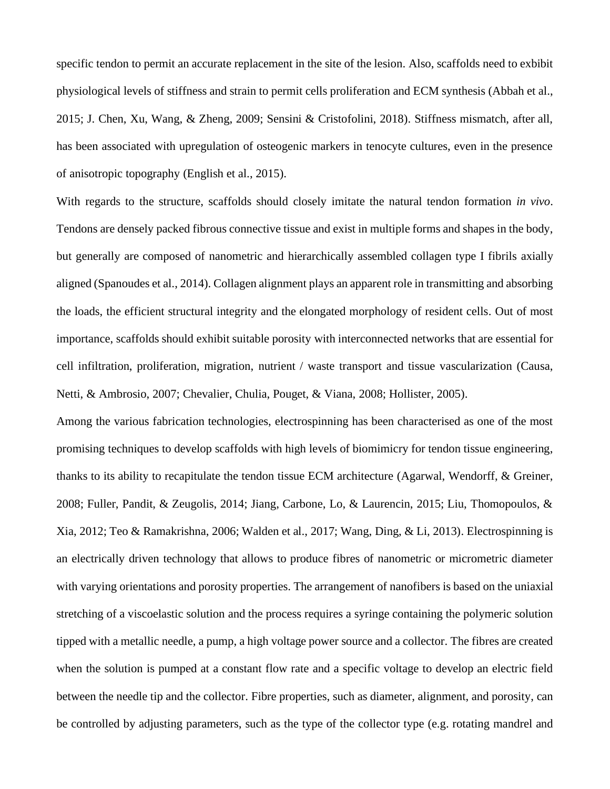specific tendon to permit an accurate replacement in the site of the lesion. Also, scaffolds need to exbibit physiological levels of stiffness and strain to permit cells proliferation and ECM synthesis (Abbah et al., 2015; J. Chen, Xu, Wang, & Zheng, 2009; Sensini & Cristofolini, 2018). Stiffness mismatch, after all, has been associated with upregulation of osteogenic markers in tenocyte cultures, even in the presence of anisotropic topography (English et al., 2015).

With regards to the structure, scaffolds should closely imitate the natural tendon formation *in vivo*. Tendons are densely packed fibrous connective tissue and exist in multiple forms and shapes in the body, but generally are composed of nanometric and hierarchically assembled collagen type I fibrils axially aligned (Spanoudes et al., 2014). Collagen alignment plays an apparent role in transmitting and absorbing the loads, the efficient structural integrity and the elongated morphology of resident cells. Out of most importance, scaffolds should exhibit suitable porosity with interconnected networks that are essential for cell infiltration, proliferation, migration, nutrient / waste transport and tissue vascularization (Causa, Netti, & Ambrosio, 2007; Chevalier, Chulia, Pouget, & Viana, 2008; Hollister, 2005).

Among the various fabrication technologies, electrospinning has been characterised as one of the most promising techniques to develop scaffolds with high levels of biomimicry for tendon tissue engineering, thanks to its ability to recapitulate the tendon tissue ECM architecture (Agarwal, Wendorff, & Greiner, 2008; Fuller, Pandit, & Zeugolis, 2014; Jiang, Carbone, Lo, & Laurencin, 2015; Liu, Thomopoulos, & Xia, 2012; Teo & Ramakrishna, 2006; Walden et al., 2017; Wang, Ding, & Li, 2013). Electrospinning is an electrically driven technology that allows to produce fibres of nanometric or micrometric diameter with varying orientations and porosity properties. The arrangement of nanofibers is based on the uniaxial stretching of a viscoelastic solution and the process requires a syringe containing the polymeric solution tipped with a metallic needle, a pump, a high voltage power source and a collector. The fibres are created when the solution is pumped at a constant flow rate and a specific voltage to develop an electric field between the needle tip and the collector. Fibre properties, such as diameter, alignment, and porosity, can be controlled by adjusting parameters, such as the type of the collector type (e.g. rotating mandrel and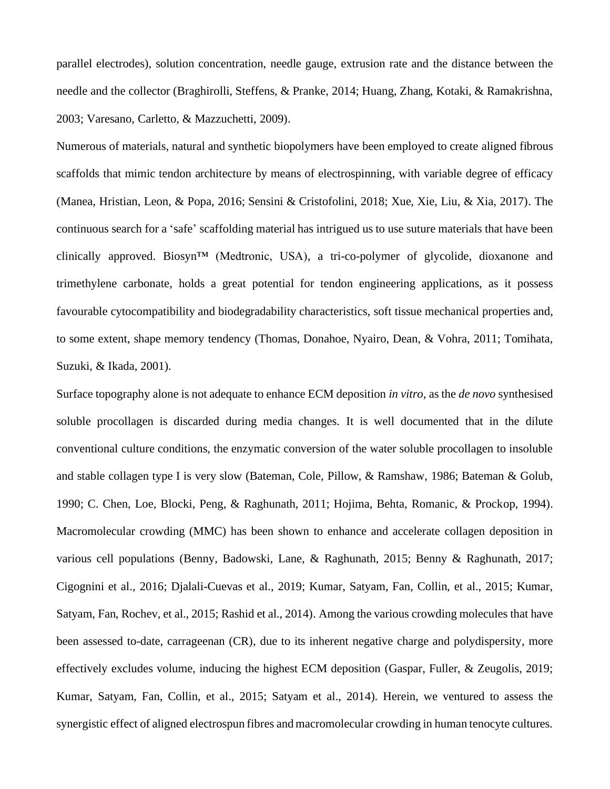parallel electrodes), solution concentration, needle gauge, extrusion rate and the distance between the needle and the collector (Braghirolli, Steffens, & Pranke, 2014; Huang, Zhang, Kotaki, & Ramakrishna, 2003; Varesano, Carletto, & Mazzuchetti, 2009).

Numerous of materials, natural and synthetic biopolymers have been employed to create aligned fibrous scaffolds that mimic tendon architecture by means of electrospinning, with variable degree of efficacy (Manea, Hristian, Leon, & Popa, 2016; Sensini & Cristofolini, 2018; Xue, Xie, Liu, & Xia, 2017). The continuous search for a 'safe' scaffolding material has intrigued us to use suture materials that have been clinically approved. Biosyn™ (Medtronic, USA), a tri-co-polymer of glycolide, dioxanone and trimethylene carbonate, holds a great potential for tendon engineering applications, as it possess favourable cytocompatibility and biodegradability characteristics, soft tissue mechanical properties and, to some extent, shape memory tendency (Thomas, Donahoe, Nyairo, Dean, & Vohra, 2011; Tomihata, Suzuki, & Ikada, 2001).

Surface topography alone is not adequate to enhance ECM deposition *in vitro*, as the *de novo* synthesised soluble procollagen is discarded during media changes. It is well documented that in the dilute conventional culture conditions, the enzymatic conversion of the water soluble procollagen to insoluble and stable collagen type I is very slow (Bateman, Cole, Pillow, & Ramshaw, 1986; Bateman & Golub, 1990; C. Chen, Loe, Blocki, Peng, & Raghunath, 2011; Hojima, Behta, Romanic, & Prockop, 1994). Macromolecular crowding (MMC) has been shown to enhance and accelerate collagen deposition in various cell populations (Benny, Badowski, Lane, & Raghunath, 2015; Benny & Raghunath, 2017; Cigognini et al., 2016; Djalali-Cuevas et al., 2019; Kumar, Satyam, Fan, Collin, et al., 2015; Kumar, Satyam, Fan, Rochev, et al., 2015; Rashid et al., 2014). Among the various crowding molecules that have been assessed to-date, carrageenan (CR), due to its inherent negative charge and polydispersity, more effectively excludes volume, inducing the highest ECM deposition (Gaspar, Fuller, & Zeugolis, 2019; Kumar, Satyam, Fan, Collin, et al., 2015; Satyam et al., 2014). Herein, we ventured to assess the synergistic effect of aligned electrospun fibres and macromolecular crowding in human tenocyte cultures.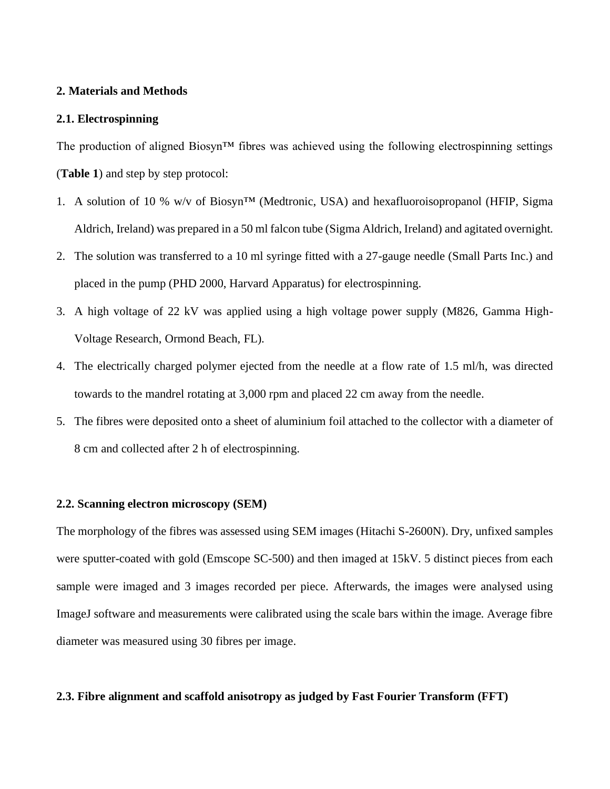#### **2. Materials and Methods**

#### **2.1. Electrospinning**

The production of aligned Biosyn™ fibres was achieved using the following electrospinning settings (**Table 1**) and step by step protocol:

- 1. A solution of 10 % w/v of Biosyn<sup>TM</sup> (Medtronic, USA) and hexafluoroisopropanol (HFIP, Sigma Aldrich, Ireland) was prepared in a 50 ml falcon tube (Sigma Aldrich, Ireland) and agitated overnight.
- 2. The solution was transferred to a 10 ml syringe fitted with a 27-gauge needle (Small Parts Inc.) and placed in the pump (PHD 2000, Harvard Apparatus) for electrospinning.
- 3. A high voltage of 22 kV was applied using a high voltage power supply (M826, Gamma High-Voltage Research, Ormond Beach, FL).
- 4. The electrically charged polymer ejected from the needle at a flow rate of 1.5 ml/h, was directed towards to the mandrel rotating at 3,000 rpm and placed 22 cm away from the needle.
- 5. The fibres were deposited onto a sheet of aluminium foil attached to the collector with a diameter of 8 cm and collected after 2 h of electrospinning.

# **2.2. Scanning electron microscopy (SEM)**

The morphology of the fibres was assessed using SEM images (Hitachi S-2600N). Dry, unfixed samples were sputter-coated with gold (Emscope SC-500) and then imaged at 15kV. 5 distinct pieces from each sample were imaged and 3 images recorded per piece. Afterwards, the images were analysed using ImageJ software and measurements were calibrated using the scale bars within the image. Average fibre diameter was measured using 30 fibres per image.

#### **2.3. Fibre alignment and scaffold anisotropy as judged by Fast Fourier Transform (FFT)**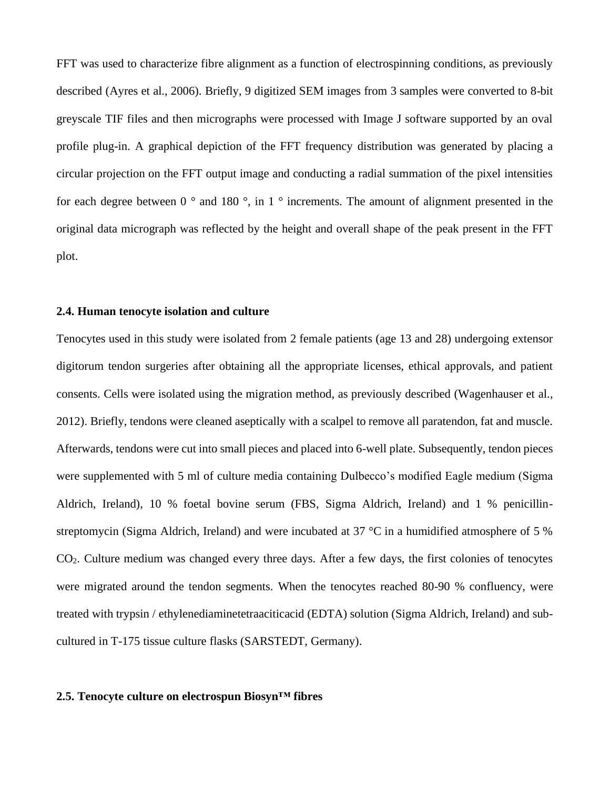FFT was used to characterize fibre alignment as a function of electrospinning conditions, as previously described (Ayres et al., 2006). Briefly, 9 digitized SEM images from 3 samples were converted to 8-bit greyscale TIF files and then micrographs were processed with Image J software supported by an oval profile plug-in. A graphical depiction of the FFT frequency distribution was generated by placing a circular projection on the FFT output image and conducting a radial summation of the pixel intensities for each degree between  $0^{\circ}$  and 180  $^{\circ}$ , in 1  $^{\circ}$  increments. The amount of alignment presented in the original data micrograph was reflected by the height and overall shape of the peak present in the FFT plot.

#### **2.4. Human tenocyte isolation and culture**

Tenocytes used in this study were isolated from 2 female patients (age 13 and 28) undergoing extensor digitorum tendon surgeries after obtaining all the appropriate licenses, ethical approvals, and patient consents. Cells were isolated using the migration method, as previously described (Wagenhauser et al., 2012). Briefly, tendons were cleaned aseptically with a scalpel to remove all paratendon, fat and muscle. Afterwards, tendons were cut into small pieces and placed into 6-well plate. Subsequently, tendon pieces were supplemented with 5 ml of culture media containing Dulbecco's modified Eagle medium (Sigma Aldrich, Ireland), 10 % foetal bovine serum (FBS, Sigma Aldrich, Ireland) and 1 % penicillinstreptomycin (Sigma Aldrich, Ireland) and were incubated at 37 °C in a humidified atmosphere of 5 % CO2. Culture medium was changed every three days. After a few days, the first colonies of tenocytes were migrated around the tendon segments. When the tenocytes reached 80-90 % confluency, were treated with trypsin / ethylenediaminetetraaciticacid (EDTA) solution (Sigma Aldrich, Ireland) and subcultured in T-175 tissue culture flasks (SARSTEDT, Germany).

## **2.5. Tenocyte culture on electrospun Biosyn™ fibres**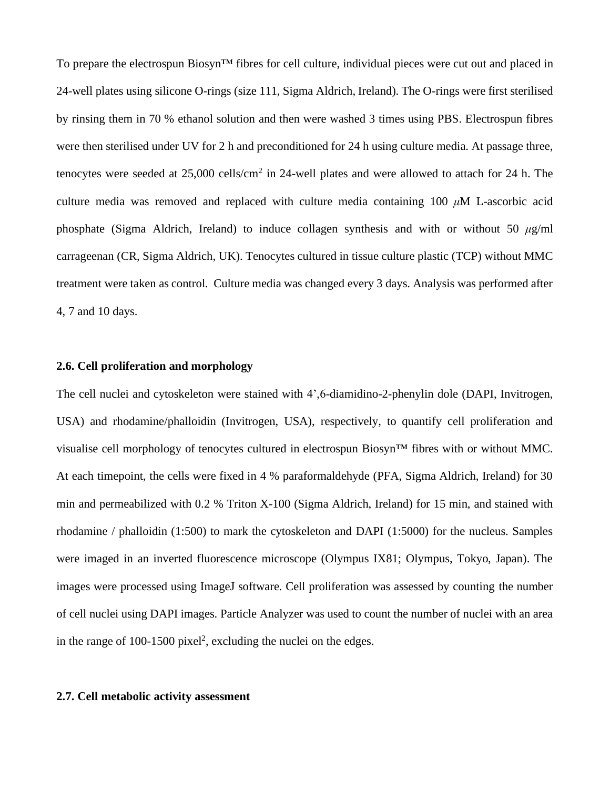To prepare the electrospun Biosyn™ fibres for cell culture, individual pieces were cut out and placed in 24-well plates using silicone O-rings (size 111, Sigma Aldrich, Ireland). The O-rings were first sterilised by rinsing them in 70 % ethanol solution and then were washed 3 times using PBS. Electrospun fibres were then sterilised under UV for 2 h and preconditioned for 24 h using culture media. At passage three, tenocytes were seeded at  $25,000$  cells/cm<sup>2</sup> in 24-well plates and were allowed to attach for 24 h. The culture media was removed and replaced with culture media containing 100 *μ*M L-ascorbic acid phosphate (Sigma Aldrich, Ireland) to induce collagen synthesis and with or without 50 *μ*g/ml carrageenan (CR, Sigma Aldrich, UK). Tenocytes cultured in tissue culture plastic (TCP) without MMC treatment were taken as control. Culture media was changed every 3 days. Analysis was performed after 4, 7 and 10 days.

## **2.6. Cell proliferation and morphology**

The cell nuclei and cytoskeleton were stained with 4',6-diamidino-2-phenylin dole (DAPI, Invitrogen, USA) and rhodamine/phalloidin (Invitrogen, USA), respectively, to quantify cell proliferation and visualise cell morphology of tenocytes cultured in electrospun Biosyn™ fibres with or without MMC. At each timepoint, the cells were fixed in 4 % paraformaldehyde (PFA, Sigma Aldrich, Ireland) for 30 min and permeabilized with 0.2 % Triton X-100 (Sigma Aldrich, Ireland) for 15 min, and stained with rhodamine / phalloidin (1:500) to mark the cytoskeleton and DAPI (1:5000) for the nucleus. Samples were imaged in an inverted fluorescence microscope (Olympus IX81; Olympus, Tokyo, Japan). The images were processed using ImageJ software. Cell proliferation was assessed by counting the number of cell nuclei using DAPI images. Particle Analyzer was used to count the number of nuclei with an area in the range of  $100-1500$  pixel<sup>2</sup>, excluding the nuclei on the edges.

## **2.7. Cell metabolic activity assessment**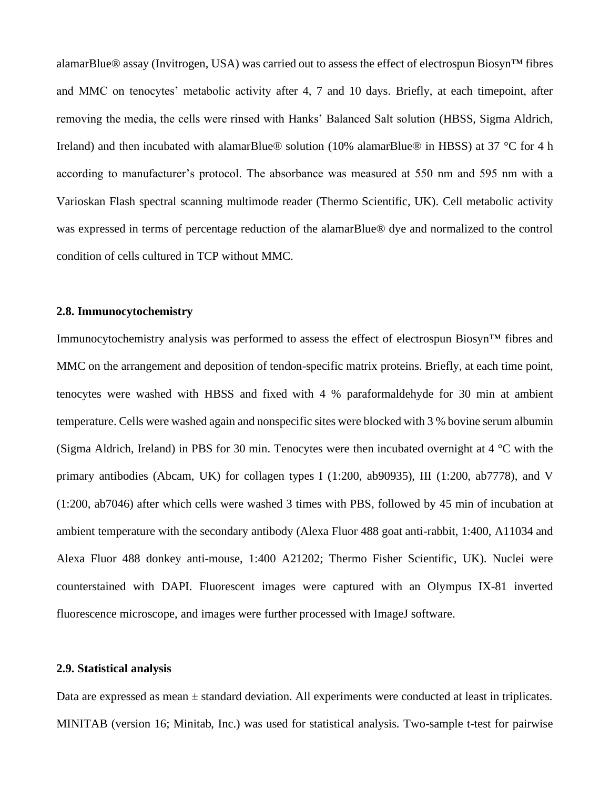alamarBlue® assay (Invitrogen, USA) was carried out to assess the effect of electrospun Biosyn™ fibres and MMC on tenocytes' metabolic activity after 4, 7 and 10 days. Briefly, at each timepoint, after removing the media, the cells were rinsed with Hanks' Balanced Salt solution (HBSS, Sigma Aldrich, Ireland) and then incubated with alamarBlue® solution (10% alamarBlue® in HBSS) at 37 °C for 4 h according to manufacturer's protocol. The absorbance was measured at 550 nm and 595 nm with a Varioskan Flash spectral scanning multimode reader (Thermo Scientific, UK). Cell metabolic activity was expressed in terms of percentage reduction of the alamarBlue® dye and normalized to the control condition of cells cultured in TCP without MMC.

#### **2.8. Immunocytochemistry**

Immunocytochemistry analysis was performed to assess the effect of electrospun Biosyn™ fibres and MMC on the arrangement and deposition of tendon-specific matrix proteins. Briefly, at each time point, tenocytes were washed with HBSS and fixed with 4 % paraformaldehyde for 30 min at ambient temperature. Cells were washed again and nonspecific sites were blocked with 3 % bovine serum albumin (Sigma Aldrich, Ireland) in PBS for 30 min. Tenocytes were then incubated overnight at 4 °C with the primary antibodies (Abcam, UK) for collagen types I (1:200, ab90935), III (1:200, ab7778), and V (1:200, ab7046) after which cells were washed 3 times with PBS, followed by 45 min of incubation at ambient temperature with the secondary antibody (Alexa Fluor 488 goat anti-rabbit, 1:400, A11034 and Alexa Fluor 488 donkey anti-mouse, 1:400 A21202; Thermo Fisher Scientific, UK). Nuclei were counterstained with DAPI. Fluorescent images were captured with an Olympus IX-81 inverted fluorescence microscope, and images were further processed with ImageJ software.

#### **2.9. Statistical analysis**

Data are expressed as mean  $\pm$  standard deviation. All experiments were conducted at least in triplicates. MINITAB (version 16; Minitab, Inc.) was used for statistical analysis. Two-sample t-test for pairwise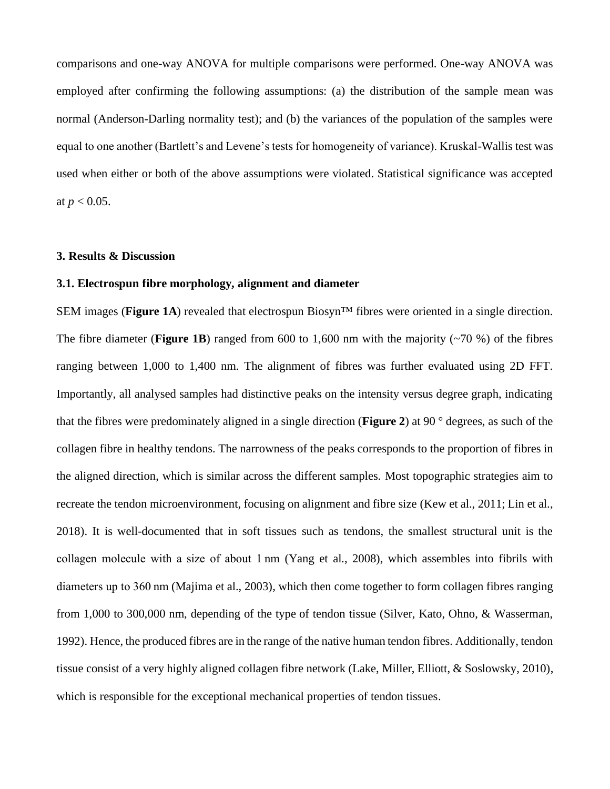comparisons and one-way ANOVA for multiple comparisons were performed. One-way ANOVA was employed after confirming the following assumptions: (a) the distribution of the sample mean was normal (Anderson-Darling normality test); and (b) the variances of the population of the samples were equal to one another (Bartlett's and Levene's tests for homogeneity of variance). Kruskal-Wallis test was used when either or both of the above assumptions were violated. Statistical significance was accepted at  $p < 0.05$ .

#### **3. Results & Discussion**

## **3.1. Electrospun fibre morphology, alignment and diameter**

SEM images (**Figure 1A**) revealed that electrospun Biosyn™ fibres were oriented in a single direction. The fibre diameter (**Figure 1B**) ranged from 600 to 1,600 nm with the majority  $(\sim 70\%)$  of the fibres ranging between 1,000 to 1,400 nm. The alignment of fibres was further evaluated using 2D FFT. Importantly, all analysed samples had distinctive peaks on the intensity versus degree graph, indicating that the fibres were predominately aligned in a single direction (**Figure 2**) at 90 ° degrees, as such of the collagen fibre in healthy tendons. The narrowness of the peaks corresponds to the proportion of fibres in the aligned direction, which is similar across the different samples. Most topographic strategies aim to recreate the tendon microenvironment, focusing on alignment and fibre size (Kew et al., 2011; Lin et al., 2018). It is well-documented that in soft tissues such as tendons, the smallest structural unit is the collagen molecule with a size of about 1 nm (Yang et al., 2008), which assembles into fibrils with diameters up to 360 nm (Majima et al., 2003), which then come together to form collagen fibres ranging from 1,000 to 300,000 nm, depending of the type of tendon tissue (Silver, Kato, Ohno, & Wasserman, 1992). Hence, the produced fibres are in the range of the native human tendon fibres. Additionally, tendon tissue consist of a very highly aligned collagen fibre network (Lake, Miller, Elliott, & Soslowsky, 2010), which is responsible for the exceptional mechanical properties of tendon tissues.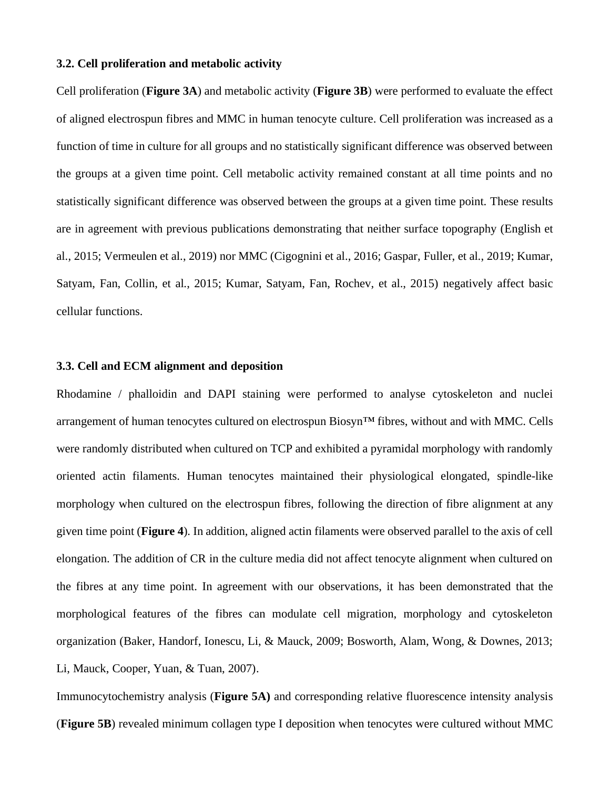#### **3.2. Cell proliferation and metabolic activity**

Cell proliferation (**Figure 3A**) and metabolic activity (**Figure 3B**) were performed to evaluate the effect of aligned electrospun fibres and MMC in human tenocyte culture. Cell proliferation was increased as a function of time in culture for all groups and no statistically significant difference was observed between the groups at a given time point. Cell metabolic activity remained constant at all time points and no statistically significant difference was observed between the groups at a given time point. These results are in agreement with previous publications demonstrating that neither surface topography (English et al., 2015; Vermeulen et al., 2019) nor MMC (Cigognini et al., 2016; Gaspar, Fuller, et al., 2019; Kumar, Satyam, Fan, Collin, et al., 2015; Kumar, Satyam, Fan, Rochev, et al., 2015) negatively affect basic cellular functions.

#### **3.3. Cell and ECM alignment and deposition**

Rhodamine / phalloidin and DAPI staining were performed to analyse cytoskeleton and nuclei arrangement of human tenocytes cultured on electrospun Biosyn™ fibres, without and with MMC. Cells were randomly distributed when cultured on TCP and exhibited a pyramidal morphology with randomly oriented actin filaments. Human tenocytes maintained their physiological elongated, spindle-like morphology when cultured on the electrospun fibres, following the direction of fibre alignment at any given time point (**Figure 4**). In addition, aligned actin filaments were observed parallel to the axis of cell elongation. The addition of CR in the culture media did not affect tenocyte alignment when cultured on the fibres at any time point. In agreement with our observations, it has been demonstrated that the morphological features of the fibres can modulate cell migration, morphology and cytoskeleton organization (Baker, Handorf, Ionescu, Li, & Mauck, 2009; Bosworth, Alam, Wong, & Downes, 2013; Li, Mauck, Cooper, Yuan, & Tuan, 2007).

Immunocytochemistry analysis (**Figure 5A)** and corresponding relative fluorescence intensity analysis (**Figure 5B**) revealed minimum collagen type I deposition when tenocytes were cultured without MMC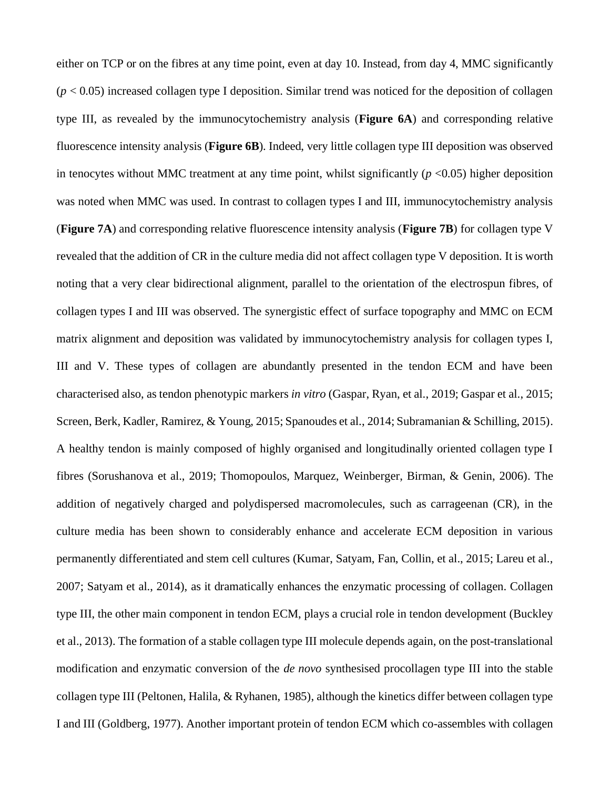either on TCP or on the fibres at any time point, even at day 10. Instead, from day 4, MMC significantly  $(p < 0.05)$  increased collagen type I deposition. Similar trend was noticed for the deposition of collagen type III, as revealed by the immunocytochemistry analysis (**Figure 6A**) and corresponding relative fluorescence intensity analysis (**Figure 6B**). Indeed, very little collagen type III deposition was observed in tenocytes without MMC treatment at any time point, whilst significantly  $(p < 0.05)$  higher deposition was noted when MMC was used. In contrast to collagen types I and III, immunocytochemistry analysis (**Figure 7A**) and corresponding relative fluorescence intensity analysis (**Figure 7B**) for collagen type V revealed that the addition of CR in the culture media did not affect collagen type V deposition. It is worth noting that a very clear bidirectional alignment, parallel to the orientation of the electrospun fibres, of collagen types I and III was observed. The synergistic effect of surface topography and MMC on ECM matrix alignment and deposition was validated by immunocytochemistry analysis for collagen types I, III and V. These types of collagen are abundantly presented in the tendon ECM and have been characterised also, as tendon phenotypic markers *in vitro* (Gaspar, Ryan, et al., 2019; Gaspar et al., 2015; Screen, Berk, Kadler, Ramirez, & Young, 2015; Spanoudes et al., 2014; Subramanian & Schilling, 2015). A healthy tendon is mainly composed of highly organised and longitudinally oriented collagen type I fibres (Sorushanova et al., 2019; Thomopoulos, Marquez, Weinberger, Birman, & Genin, 2006). The addition of negatively charged and polydispersed macromolecules, such as carrageenan (CR), in the culture media has been shown to considerably enhance and accelerate ECM deposition in various permanently differentiated and stem cell cultures (Kumar, Satyam, Fan, Collin, et al., 2015; Lareu et al., 2007; Satyam et al., 2014), as it dramatically enhances the enzymatic processing of collagen. Collagen type III, the other main component in tendon ECM, plays a crucial role in tendon development (Buckley et al., 2013). The formation of a stable collagen type III molecule depends again, on the post-translational modification and enzymatic conversion of the *de novo* synthesised procollagen type III into the stable collagen type III (Peltonen, Halila, & Ryhanen, 1985), although the kinetics differ between collagen type I and III (Goldberg, 1977). Another important protein of tendon ECM which co-assembles with collagen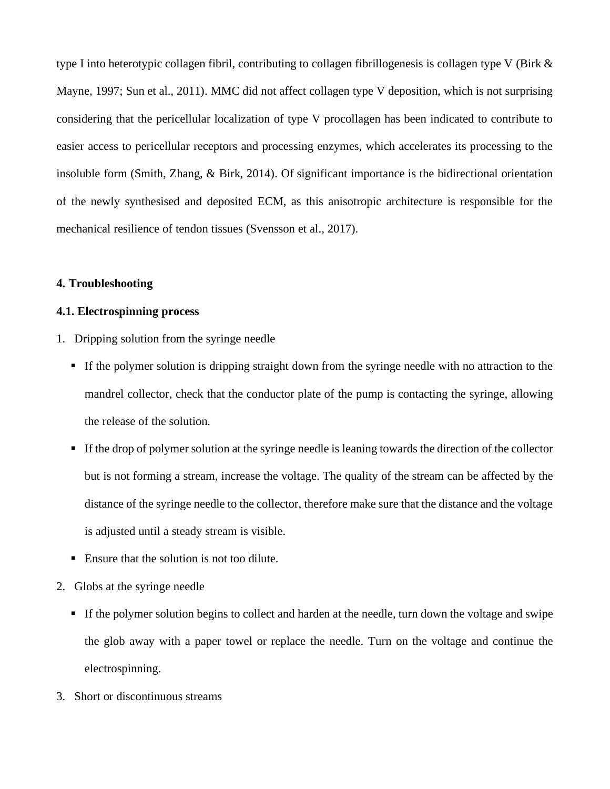type I into heterotypic collagen fibril, contributing to collagen fibrillogenesis is collagen type V (Birk & Mayne, 1997; Sun et al., 2011). MMC did not affect collagen type V deposition, which is not surprising considering that the pericellular localization of type V procollagen has been indicated to contribute to easier access to pericellular receptors and processing enzymes, which accelerates its processing to the insoluble form (Smith, Zhang, & Birk, 2014). Of significant importance is the bidirectional orientation of the newly synthesised and deposited ECM, as this anisotropic architecture is responsible for the mechanical resilience of tendon tissues (Svensson et al., 2017).

#### **4. Troubleshooting**

## **4.1. Electrospinning process**

- 1. Dripping solution from the syringe needle
	- If the polymer solution is dripping straight down from the syringe needle with no attraction to the mandrel collector, check that the conductor plate of the pump is contacting the syringe, allowing the release of the solution.
	- If the drop of polymer solution at the syringe needle is leaning towards the direction of the collector but is not forming a stream, increase the voltage. The quality of the stream can be affected by the distance of the syringe needle to the collector, therefore make sure that the distance and the voltage is adjusted until a steady stream is visible.
	- Ensure that the solution is not too dilute.
- 2. Globs at the syringe needle
	- If the polymer solution begins to collect and harden at the needle, turn down the voltage and swipe the glob away with a paper towel or replace the needle. Turn on the voltage and continue the electrospinning.
- 3. Short or discontinuous streams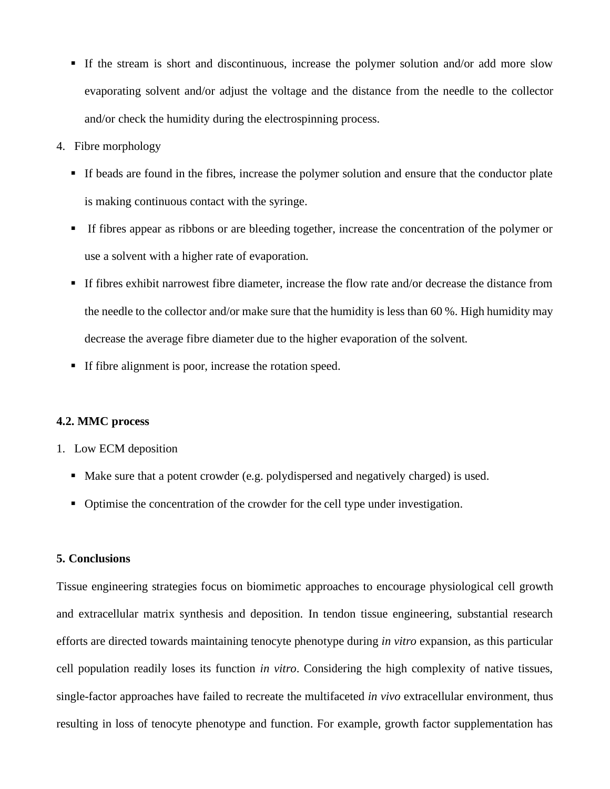- If the stream is short and discontinuous, increase the polymer solution and/or add more slow evaporating solvent and/or adjust the voltage and the distance from the needle to the collector and/or check the humidity during the electrospinning process.
- 4. Fibre morphology
	- If beads are found in the fibres, increase the polymer solution and ensure that the conductor plate is making continuous contact with the syringe.
	- If fibres appear as ribbons or are bleeding together, increase the concentration of the polymer or use a solvent with a higher rate of evaporation.
	- If fibres exhibit narrowest fibre diameter, increase the flow rate and/or decrease the distance from the needle to the collector and/or make sure that the humidity is less than 60 %. High humidity may decrease the average fibre diameter due to the higher evaporation of the solvent.
	- If fibre alignment is poor, increase the rotation speed.

## **4.2. MMC process**

- 1. Low ECM deposition
	- Make sure that a potent crowder (e.g. polydispersed and negatively charged) is used.
	- Optimise the concentration of the crowder for the cell type under investigation.

## **5. Conclusions**

Tissue engineering strategies focus on biomimetic approaches to encourage physiological cell growth and extracellular matrix synthesis and deposition. In tendon tissue engineering, substantial research efforts are directed towards maintaining tenocyte phenotype during *in vitro* expansion, as this particular cell population readily loses its function *in vitro*. Considering the high complexity of native tissues, single-factor approaches have failed to recreate the multifaceted *in vivo* extracellular environment, thus resulting in loss of tenocyte phenotype and function. For example, growth factor supplementation has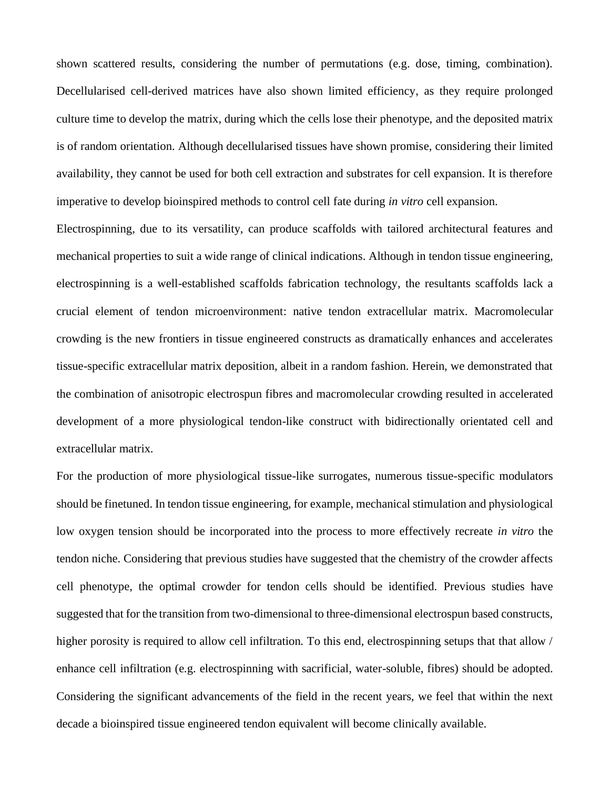shown scattered results, considering the number of permutations (e.g. dose, timing, combination). Decellularised cell-derived matrices have also shown limited efficiency, as they require prolonged culture time to develop the matrix, during which the cells lose their phenotype, and the deposited matrix is of random orientation. Although decellularised tissues have shown promise, considering their limited availability, they cannot be used for both cell extraction and substrates for cell expansion. It is therefore imperative to develop bioinspired methods to control cell fate during *in vitro* cell expansion.

Electrospinning, due to its versatility, can produce scaffolds with tailored architectural features and mechanical properties to suit a wide range of clinical indications. Although in tendon tissue engineering, electrospinning is a well-established scaffolds fabrication technology, the resultants scaffolds lack a crucial element of tendon microenvironment: native tendon extracellular matrix. Macromolecular crowding is the new frontiers in tissue engineered constructs as dramatically enhances and accelerates tissue-specific extracellular matrix deposition, albeit in a random fashion. Herein, we demonstrated that the combination of anisotropic electrospun fibres and macromolecular crowding resulted in accelerated development of a more physiological tendon-like construct with bidirectionally orientated cell and extracellular matrix.

For the production of more physiological tissue-like surrogates, numerous tissue-specific modulators should be finetuned. In tendon tissue engineering, for example, mechanical stimulation and physiological low oxygen tension should be incorporated into the process to more effectively recreate *in vitro* the tendon niche. Considering that previous studies have suggested that the chemistry of the crowder affects cell phenotype, the optimal crowder for tendon cells should be identified. Previous studies have suggested that for the transition from two-dimensional to three-dimensional electrospun based constructs, higher porosity is required to allow cell infiltration. To this end, electrospinning setups that that allow / enhance cell infiltration (e.g. electrospinning with sacrificial, water-soluble, fibres) should be adopted. Considering the significant advancements of the field in the recent years, we feel that within the next decade a bioinspired tissue engineered tendon equivalent will become clinically available.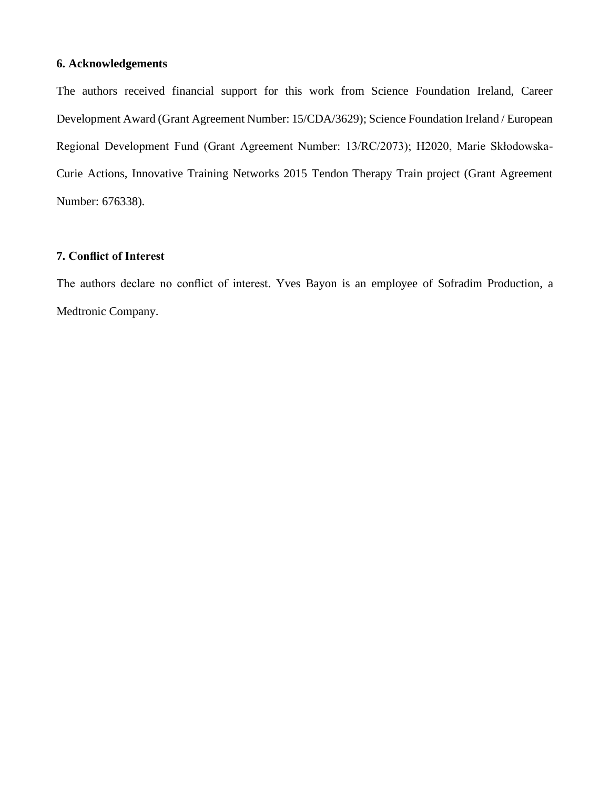## **6. Acknowledgements**

The authors received financial support for this work from Science Foundation Ireland, Career Development Award (Grant Agreement Number: 15/CDA/3629); Science Foundation Ireland / European Regional Development Fund (Grant Agreement Number: 13/RC/2073); H2020, Marie Skłodowska-Curie Actions, Innovative Training Networks 2015 Tendon Therapy Train project (Grant Agreement Number: 676338).

# **7. Conflict of Interest**

The authors declare no conflict of interest. Yves Bayon is an employee of Sofradim Production, a Medtronic Company.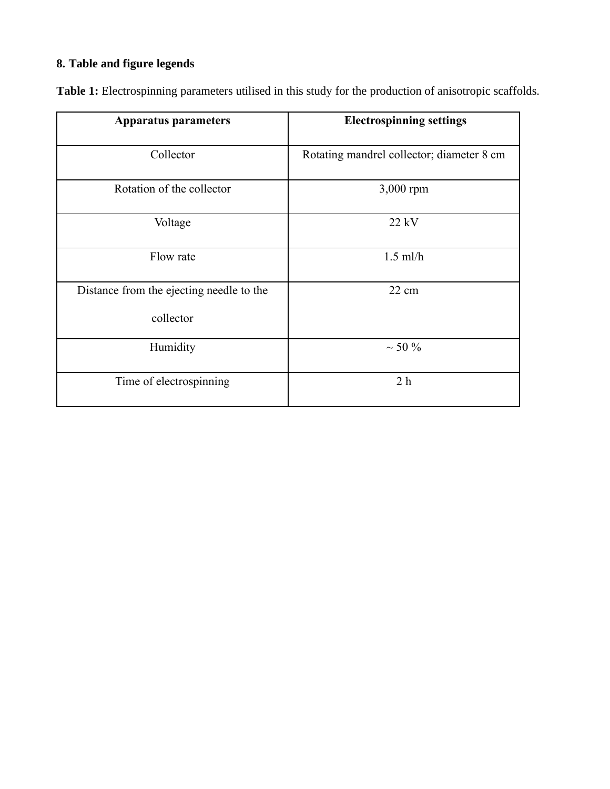# **8. Table and figure legends**

| <b>Apparatus parameters</b>                           | <b>Electrospinning settings</b>           |
|-------------------------------------------------------|-------------------------------------------|
| Collector                                             | Rotating mandrel collector; diameter 8 cm |
| Rotation of the collector                             | 3,000 rpm                                 |
| Voltage                                               | $22$ kV                                   |
| Flow rate                                             | $1.5$ ml/h                                |
| Distance from the ejecting needle to the<br>collector | 22 cm                                     |
| Humidity                                              | $\sim$ 50 %                               |
| Time of electrospinning                               | 2 <sub>h</sub>                            |

Table 1: Electrospinning parameters utilised in this study for the production of anisotropic scaffolds.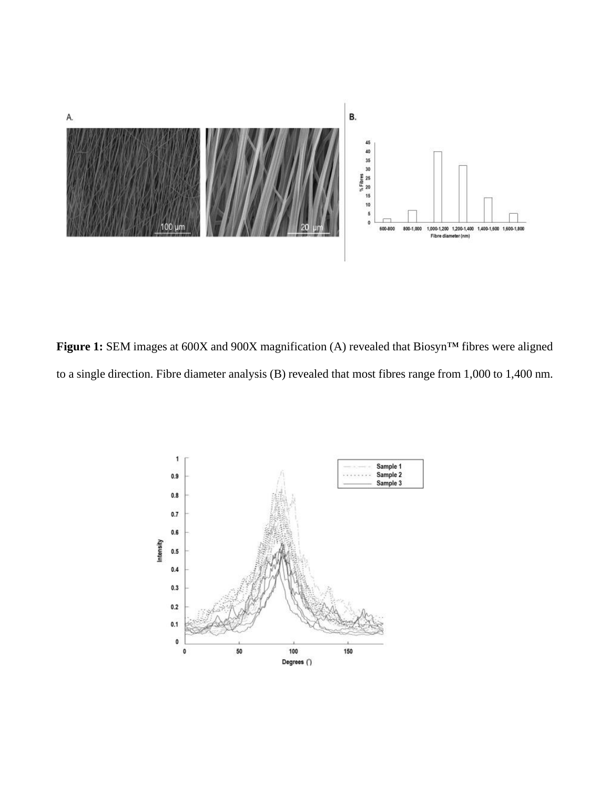

**Figure 1:** SEM images at 600X and 900X magnification (A) revealed that Biosyn™ fibres were aligned to a single direction. Fibre diameter analysis (B) revealed that most fibres range from 1,000 to 1,400 nm.

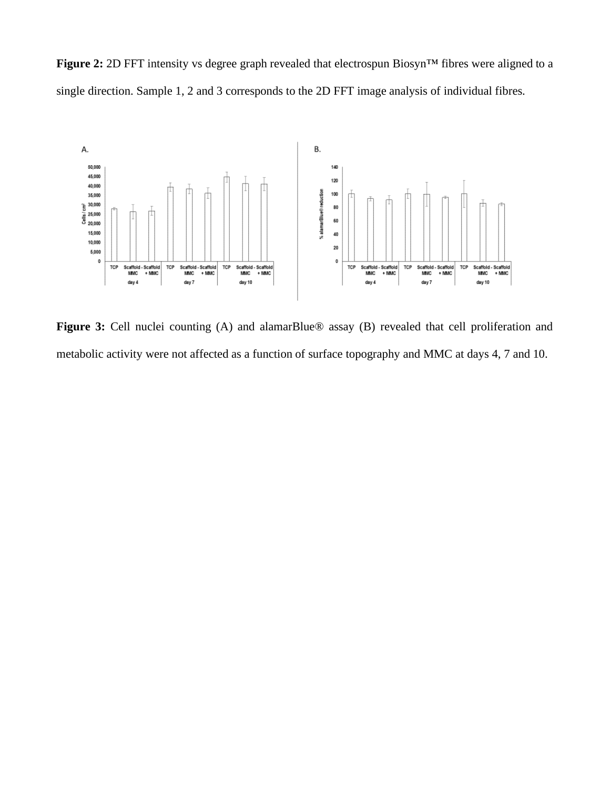**Figure 2:** 2D FFT intensity vs degree graph revealed that electrospun Biosyn™ fibres were aligned to a single direction. Sample 1, 2 and 3 corresponds to the 2D FFT image analysis of individual fibres.



Figure 3: Cell nuclei counting (A) and alamarBlue<sup>®</sup> assay (B) revealed that cell proliferation and metabolic activity were not affected as a function of surface topography and MMC at days 4, 7 and 10.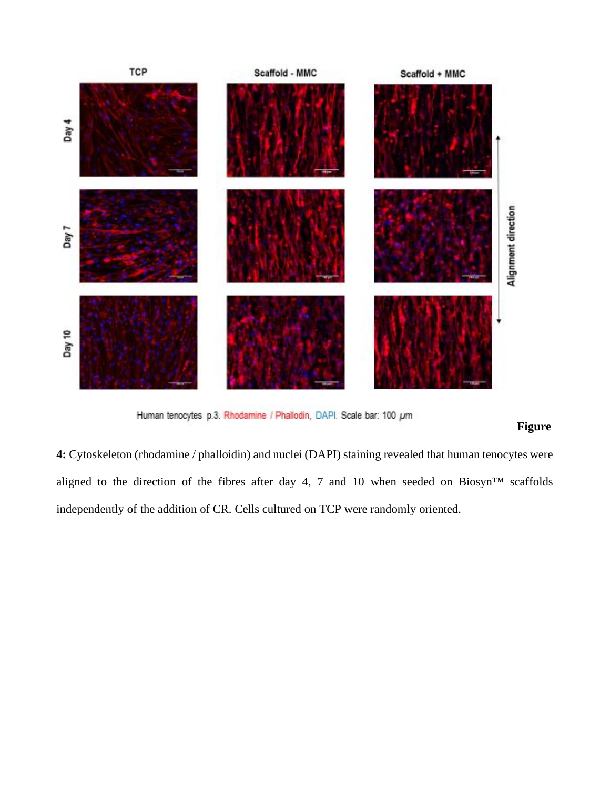

Human tenocytes p.3. Rhodamine / Phallodin, DAPI. Scale bar: 100 µm

# **Figure**

**4:** Cytoskeleton (rhodamine / phalloidin) and nuclei (DAPI) staining revealed that human tenocytes were aligned to the direction of the fibres after day 4, 7 and 10 when seeded on Biosyn<sup>TM</sup> scaffolds independently of the addition of CR. Cells cultured on TCP were randomly oriented.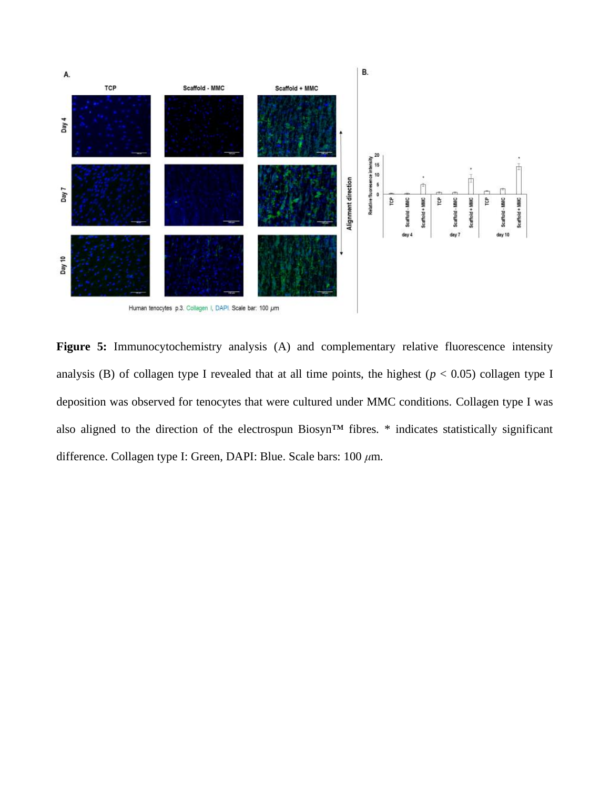

**Figure 5:** Immunocytochemistry analysis (A) and complementary relative fluorescence intensity analysis (B) of collagen type I revealed that at all time points, the highest ( $p < 0.05$ ) collagen type I deposition was observed for tenocytes that were cultured under MMC conditions. Collagen type I was also aligned to the direction of the electrospun Biosyn™ fibres. \* indicates statistically significant difference. Collagen type I: Green, DAPI: Blue. Scale bars: 100 *μ*m.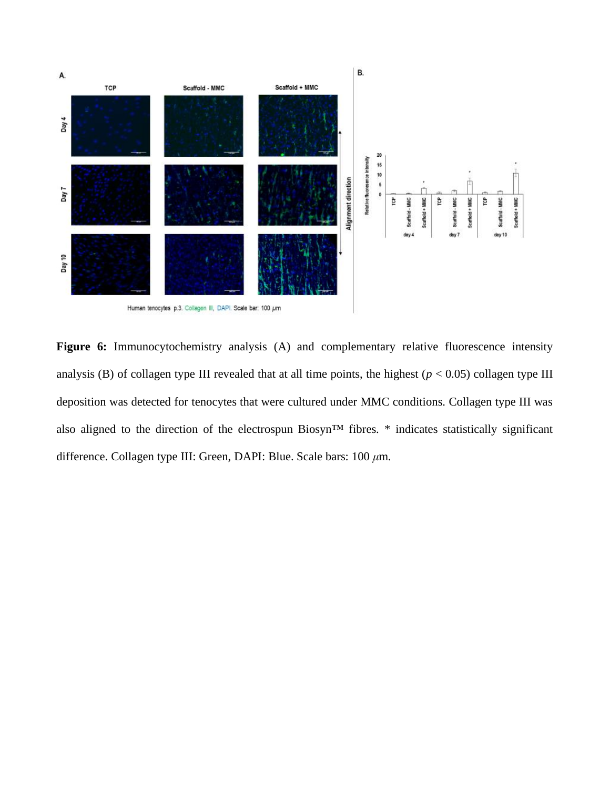

**Figure 6:** Immunocytochemistry analysis (A) and complementary relative fluorescence intensity analysis (B) of collagen type III revealed that at all time points, the highest ( $p < 0.05$ ) collagen type III deposition was detected for tenocytes that were cultured under MMC conditions. Collagen type III was also aligned to the direction of the electrospun Biosyn™ fibres. \* indicates statistically significant difference. Collagen type III: Green, DAPI: Blue. Scale bars: 100 *μ*m.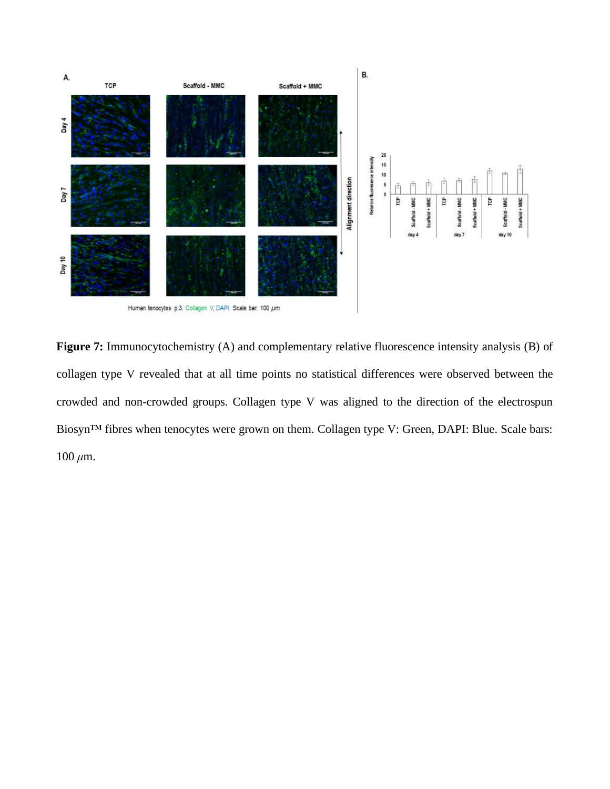

**Figure 7:** Immunocytochemistry (A) and complementary relative fluorescence intensity analysis (B) of collagen type V revealed that at all time points no statistical differences were observed between the crowded and non-crowded groups. Collagen type V was aligned to the direction of the electrospun Biosyn™ fibres when tenocytes were grown on them. Collagen type V: Green, DAPI: Blue. Scale bars: 100 *μ*m.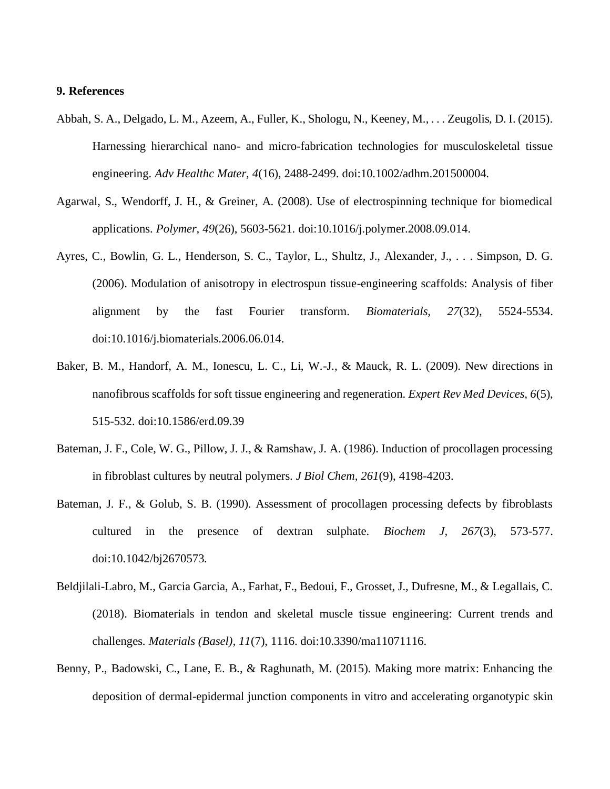#### **9. References**

- Abbah, S. A., Delgado, L. M., Azeem, A., Fuller, K., Shologu, N., Keeney, M., . . . Zeugolis, D. I. (2015). Harnessing hierarchical nano- and micro-fabrication technologies for musculoskeletal tissue engineering. *Adv Healthc Mater, 4*(16), 2488-2499. doi:10.1002/adhm.201500004.
- Agarwal, S., Wendorff, J. H., & Greiner, A. (2008). Use of electrospinning technique for biomedical applications. *Polymer, 49*(26), 5603-5621. doi:10.1016/j.polymer.2008.09.014.
- Ayres, C., Bowlin, G. L., Henderson, S. C., Taylor, L., Shultz, J., Alexander, J., . . . Simpson, D. G. (2006). Modulation of anisotropy in electrospun tissue-engineering scaffolds: Analysis of fiber alignment by the fast Fourier transform. *Biomaterials, 27*(32), 5524-5534. doi:10.1016/j.biomaterials.2006.06.014.
- Baker, B. M., Handorf, A. M., Ionescu, L. C., Li, W.-J., & Mauck, R. L. (2009). New directions in nanofibrous scaffolds for soft tissue engineering and regeneration. *Expert Rev Med Devices, 6*(5), 515-532. doi:10.1586/erd.09.39
- Bateman, J. F., Cole, W. G., Pillow, J. J., & Ramshaw, J. A. (1986). Induction of procollagen processing in fibroblast cultures by neutral polymers. *J Biol Chem, 261*(9), 4198-4203.
- Bateman, J. F., & Golub, S. B. (1990). Assessment of procollagen processing defects by fibroblasts cultured in the presence of dextran sulphate. *Biochem J, 267*(3), 573-577. doi:10.1042/bj2670573.
- Beldjilali-Labro, M., Garcia Garcia, A., Farhat, F., Bedoui, F., Grosset, J., Dufresne, M., & Legallais, C. (2018). Biomaterials in tendon and skeletal muscle tissue engineering: Current trends and challenges. *Materials (Basel), 11*(7), 1116. doi:10.3390/ma11071116.
- Benny, P., Badowski, C., Lane, E. B., & Raghunath, M. (2015). Making more matrix: Enhancing the deposition of dermal-epidermal junction components in vitro and accelerating organotypic skin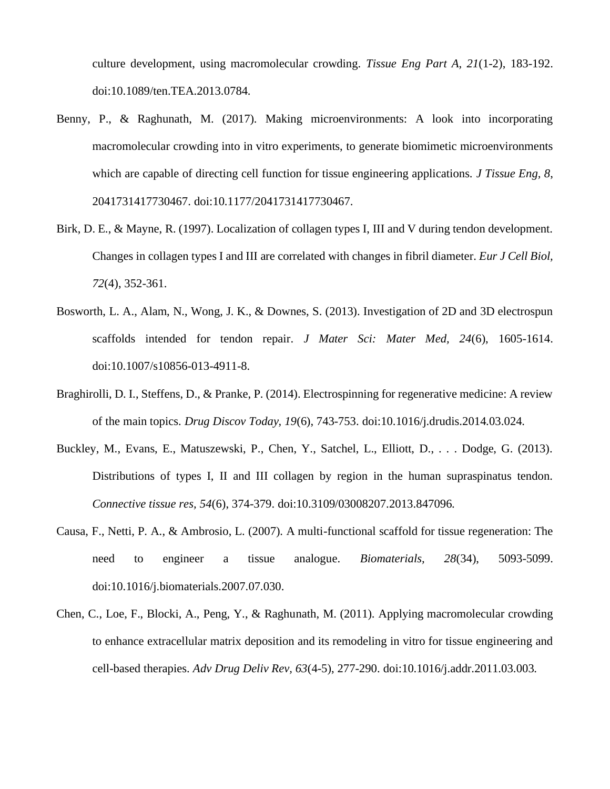culture development, using macromolecular crowding. *Tissue Eng Part A, 21*(1-2), 183-192. doi:10.1089/ten.TEA.2013.0784.

- Benny, P., & Raghunath, M. (2017). Making microenvironments: A look into incorporating macromolecular crowding into in vitro experiments, to generate biomimetic microenvironments which are capable of directing cell function for tissue engineering applications. *J Tissue Eng, 8*, 2041731417730467. doi:10.1177/2041731417730467.
- Birk, D. E., & Mayne, R. (1997). Localization of collagen types I, III and V during tendon development. Changes in collagen types I and III are correlated with changes in fibril diameter. *Eur J Cell Biol, 72*(4), 352-361.
- Bosworth, L. A., Alam, N., Wong, J. K., & Downes, S. (2013). Investigation of 2D and 3D electrospun scaffolds intended for tendon repair. *J Mater Sci: Mater Med, 24*(6), 1605-1614. doi:10.1007/s10856-013-4911-8.
- Braghirolli, D. I., Steffens, D., & Pranke, P. (2014). Electrospinning for regenerative medicine: A review of the main topics. *Drug Discov Today, 19*(6), 743-753. doi:10.1016/j.drudis.2014.03.024.
- Buckley, M., Evans, E., Matuszewski, P., Chen, Y., Satchel, L., Elliott, D., . . . Dodge, G. (2013). Distributions of types I, II and III collagen by region in the human supraspinatus tendon. *Connective tissue res, 54*(6), 374-379. doi:10.3109/03008207.2013.847096.
- Causa, F., Netti, P. A., & Ambrosio, L. (2007). A multi-functional scaffold for tissue regeneration: The need to engineer a tissue analogue. *Biomaterials, 28*(34), 5093-5099. doi:10.1016/j.biomaterials.2007.07.030.
- Chen, C., Loe, F., Blocki, A., Peng, Y., & Raghunath, M. (2011). Applying macromolecular crowding to enhance extracellular matrix deposition and its remodeling in vitro for tissue engineering and cell-based therapies. *Adv Drug Deliv Rev, 63*(4-5), 277-290. doi:10.1016/j.addr.2011.03.003.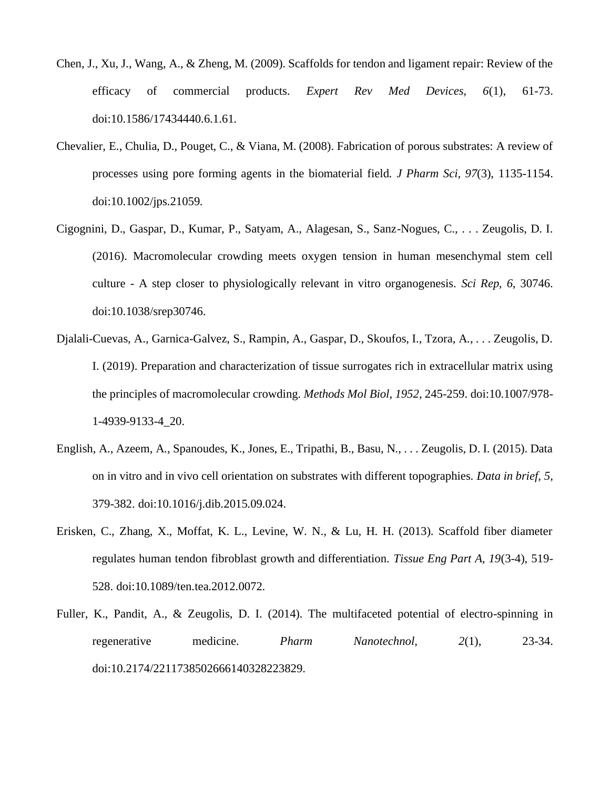- Chen, J., Xu, J., Wang, A., & Zheng, M. (2009). Scaffolds for tendon and ligament repair: Review of the efficacy of commercial products. *Expert Rev Med Devices, 6*(1), 61-73. doi:10.1586/17434440.6.1.61.
- Chevalier, E., Chulia, D., Pouget, C., & Viana, M. (2008). Fabrication of porous substrates: A review of processes using pore forming agents in the biomaterial field. *J Pharm Sci, 97*(3), 1135-1154. doi:10.1002/jps.21059.
- Cigognini, D., Gaspar, D., Kumar, P., Satyam, A., Alagesan, S., Sanz-Nogues, C., . . . Zeugolis, D. I. (2016). Macromolecular crowding meets oxygen tension in human mesenchymal stem cell culture - A step closer to physiologically relevant in vitro organogenesis. *Sci Rep, 6*, 30746. doi:10.1038/srep30746.
- Djalali-Cuevas, A., Garnica-Galvez, S., Rampin, A., Gaspar, D., Skoufos, I., Tzora, A., . . . Zeugolis, D. I. (2019). Preparation and characterization of tissue surrogates rich in extracellular matrix using the principles of macromolecular crowding. *Methods Mol Biol, 1952*, 245-259. doi:10.1007/978- 1-4939-9133-4\_20.
- English, A., Azeem, A., Spanoudes, K., Jones, E., Tripathi, B., Basu, N., . . . Zeugolis, D. I. (2015). Data on in vitro and in vivo cell orientation on substrates with different topographies. *Data in brief, 5*, 379-382. doi:10.1016/j.dib.2015.09.024.
- Erisken, C., Zhang, X., Moffat, K. L., Levine, W. N., & Lu, H. H. (2013). Scaffold fiber diameter regulates human tendon fibroblast growth and differentiation. *Tissue Eng Part A, 19*(3-4), 519- 528. doi:10.1089/ten.tea.2012.0072.
- Fuller, K., Pandit, A., & Zeugolis, D. I. (2014). The multifaceted potential of electro-spinning in regenerative medicine. *Pharm Nanotechnol, 2*(1), 23-34. doi:10.2174/2211738502666140328223829.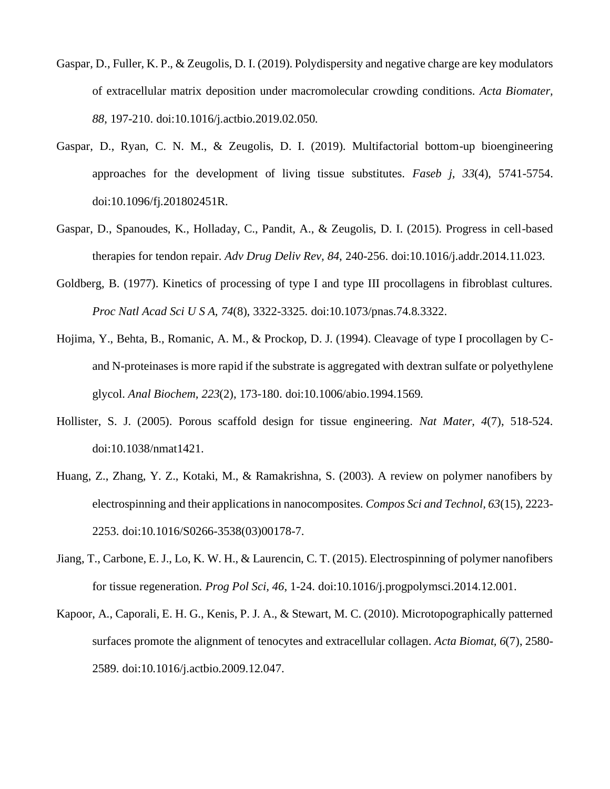- Gaspar, D., Fuller, K. P., & Zeugolis, D. I. (2019). Polydispersity and negative charge are key modulators of extracellular matrix deposition under macromolecular crowding conditions. *Acta Biomater, 88*, 197-210. doi:10.1016/j.actbio.2019.02.050.
- Gaspar, D., Ryan, C. N. M., & Zeugolis, D. I. (2019). Multifactorial bottom-up bioengineering approaches for the development of living tissue substitutes. *Faseb j, 33*(4), 5741-5754. doi:10.1096/fj.201802451R.
- Gaspar, D., Spanoudes, K., Holladay, C., Pandit, A., & Zeugolis, D. I. (2015). Progress in cell-based therapies for tendon repair. *Adv Drug Deliv Rev, 84*, 240-256. doi:10.1016/j.addr.2014.11.023.
- Goldberg, B. (1977). Kinetics of processing of type I and type III procollagens in fibroblast cultures. *Proc Natl Acad Sci U S A, 74*(8), 3322-3325. doi:10.1073/pnas.74.8.3322.
- Hojima, Y., Behta, B., Romanic, A. M., & Prockop, D. J. (1994). Cleavage of type I procollagen by Cand N-proteinases is more rapid if the substrate is aggregated with dextran sulfate or polyethylene glycol. *Anal Biochem, 223*(2), 173-180. doi:10.1006/abio.1994.1569.
- Hollister, S. J. (2005). Porous scaffold design for tissue engineering. *Nat Mater, 4*(7), 518-524. doi:10.1038/nmat1421.
- Huang, Z., Zhang, Y. Z., Kotaki, M., & Ramakrishna, S. (2003). A review on polymer nanofibers by electrospinning and their applications in nanocomposites. *Compos Sci and Technol, 63*(15), 2223- 2253. doi:10.1016/S0266-3538(03)00178-7.
- Jiang, T., Carbone, E. J., Lo, K. W. H., & Laurencin, C. T. (2015). Electrospinning of polymer nanofibers for tissue regeneration. *Prog Pol Sci, 46*, 1-24. doi:10.1016/j.progpolymsci.2014.12.001.
- Kapoor, A., Caporali, E. H. G., Kenis, P. J. A., & Stewart, M. C. (2010). Microtopographically patterned surfaces promote the alignment of tenocytes and extracellular collagen. *Acta Biomat, 6*(7), 2580- 2589. doi:10.1016/j.actbio.2009.12.047.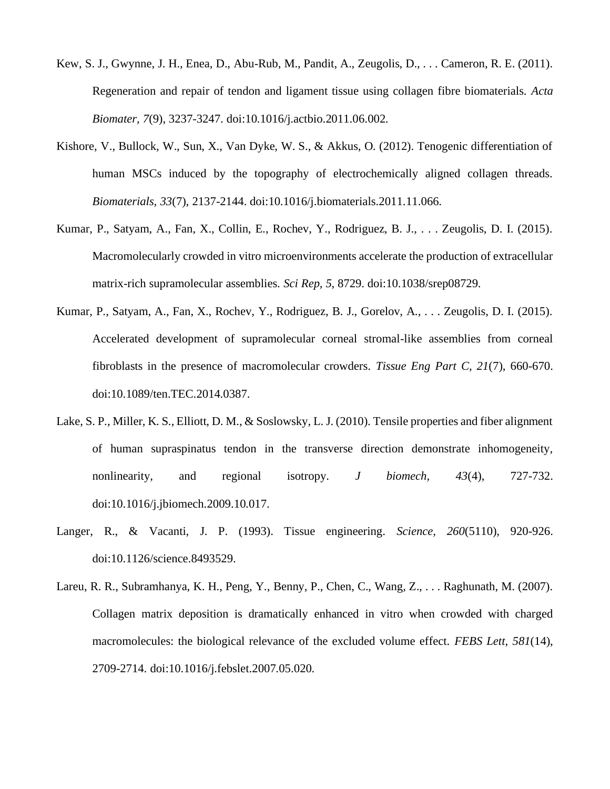- Kew, S. J., Gwynne, J. H., Enea, D., Abu-Rub, M., Pandit, A., Zeugolis, D., . . . Cameron, R. E. (2011). Regeneration and repair of tendon and ligament tissue using collagen fibre biomaterials. *Acta Biomater, 7*(9), 3237-3247. doi:10.1016/j.actbio.2011.06.002.
- Kishore, V., Bullock, W., Sun, X., Van Dyke, W. S., & Akkus, O. (2012). Tenogenic differentiation of human MSCs induced by the topography of electrochemically aligned collagen threads. *Biomaterials, 33*(7), 2137-2144. doi:10.1016/j.biomaterials.2011.11.066.
- Kumar, P., Satyam, A., Fan, X., Collin, E., Rochev, Y., Rodriguez, B. J., . . . Zeugolis, D. I. (2015). Macromolecularly crowded in vitro microenvironments accelerate the production of extracellular matrix-rich supramolecular assemblies. *Sci Rep, 5*, 8729. doi:10.1038/srep08729.
- Kumar, P., Satyam, A., Fan, X., Rochev, Y., Rodriguez, B. J., Gorelov, A., . . . Zeugolis, D. I. (2015). Accelerated development of supramolecular corneal stromal-like assemblies from corneal fibroblasts in the presence of macromolecular crowders. *Tissue Eng Part C, 21*(7), 660-670. doi:10.1089/ten.TEC.2014.0387.
- Lake, S. P., Miller, K. S., Elliott, D. M., & Soslowsky, L. J. (2010). Tensile properties and fiber alignment of human supraspinatus tendon in the transverse direction demonstrate inhomogeneity, nonlinearity, and regional isotropy. *J biomech, 43*(4), 727-732. doi:10.1016/j.jbiomech.2009.10.017.
- Langer, R., & Vacanti, J. P. (1993). Tissue engineering. *Science, 260*(5110), 920-926. doi:10.1126/science.8493529.
- Lareu, R. R., Subramhanya, K. H., Peng, Y., Benny, P., Chen, C., Wang, Z., . . . Raghunath, M. (2007). Collagen matrix deposition is dramatically enhanced in vitro when crowded with charged macromolecules: the biological relevance of the excluded volume effect. *FEBS Lett, 581*(14), 2709-2714. doi:10.1016/j.febslet.2007.05.020.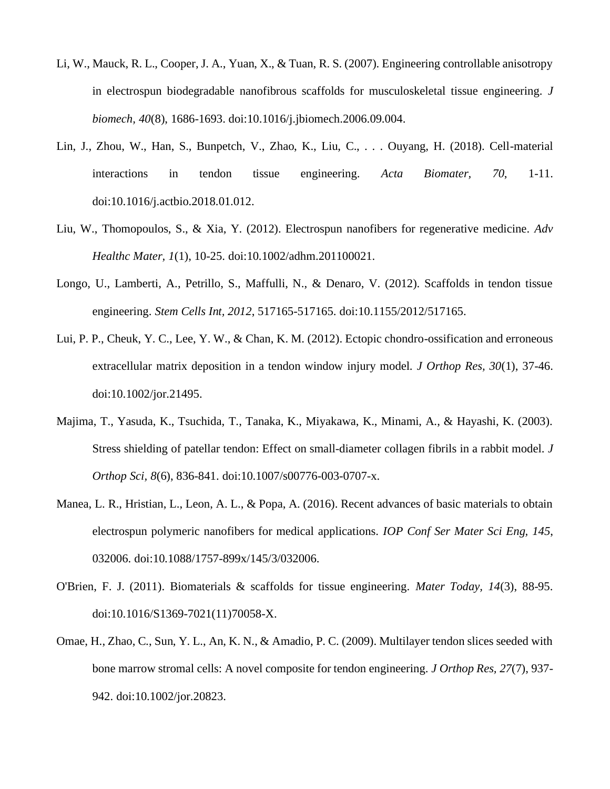- Li, W., Mauck, R. L., Cooper, J. A., Yuan, X., & Tuan, R. S. (2007). Engineering controllable anisotropy in electrospun biodegradable nanofibrous scaffolds for musculoskeletal tissue engineering. *J biomech, 40*(8), 1686-1693. doi:10.1016/j.jbiomech.2006.09.004.
- Lin, J., Zhou, W., Han, S., Bunpetch, V., Zhao, K., Liu, C., . . . Ouyang, H. (2018). Cell-material interactions in tendon tissue engineering. *Acta Biomater, 70*, 1-11. doi:10.1016/j.actbio.2018.01.012.
- Liu, W., Thomopoulos, S., & Xia, Y. (2012). Electrospun nanofibers for regenerative medicine. *Adv Healthc Mater, 1*(1), 10-25. doi:10.1002/adhm.201100021.
- Longo, U., Lamberti, A., Petrillo, S., Maffulli, N., & Denaro, V. (2012). Scaffolds in tendon tissue engineering. *Stem Cells Int, 2012*, 517165-517165. doi:10.1155/2012/517165.
- Lui, P. P., Cheuk, Y. C., Lee, Y. W., & Chan, K. M. (2012). Ectopic chondro-ossification and erroneous extracellular matrix deposition in a tendon window injury model. *J Orthop Res, 30*(1), 37-46. doi:10.1002/jor.21495.
- Majima, T., Yasuda, K., Tsuchida, T., Tanaka, K., Miyakawa, K., Minami, A., & Hayashi, K. (2003). Stress shielding of patellar tendon: Effect on small-diameter collagen fibrils in a rabbit model. *J Orthop Sci, 8*(6), 836-841. doi:10.1007/s00776-003-0707-x.
- Manea, L. R., Hristian, L., Leon, A. L., & Popa, A. (2016). Recent advances of basic materials to obtain electrospun polymeric nanofibers for medical applications. *IOP Conf Ser Mater Sci Eng, 145*, 032006. doi:10.1088/1757-899x/145/3/032006.
- O'Brien, F. J. (2011). Biomaterials & scaffolds for tissue engineering. *Mater Today, 14*(3), 88-95. doi:10.1016/S1369-7021(11)70058-X.
- Omae, H., Zhao, C., Sun, Y. L., An, K. N., & Amadio, P. C. (2009). Multilayer tendon slices seeded with bone marrow stromal cells: A novel composite for tendon engineering. *J Orthop Res, 27*(7), 937- 942. doi:10.1002/jor.20823.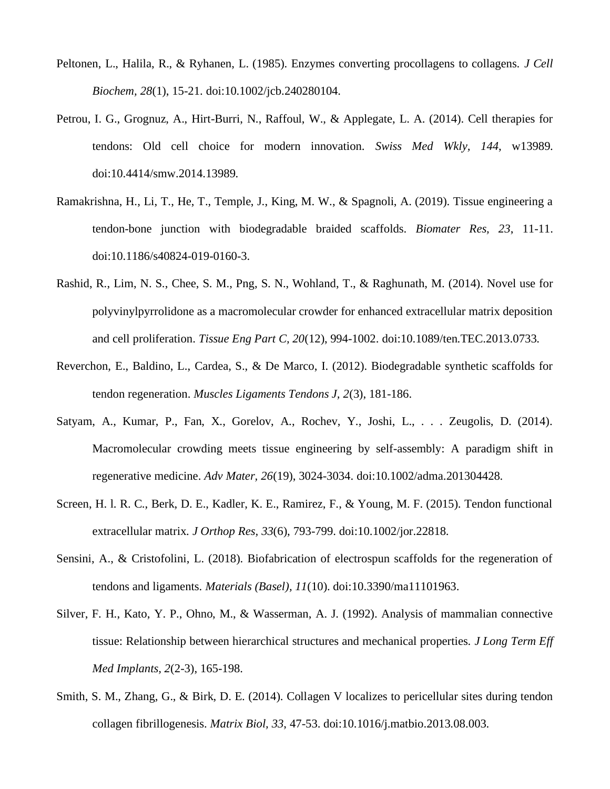- Peltonen, L., Halila, R., & Ryhanen, L. (1985). Enzymes converting procollagens to collagens. *J Cell Biochem, 28*(1), 15-21. doi:10.1002/jcb.240280104.
- Petrou, I. G., Grognuz, A., Hirt-Burri, N., Raffoul, W., & Applegate, L. A. (2014). Cell therapies for tendons: Old cell choice for modern innovation. *Swiss Med Wkly, 144*, w13989. doi:10.4414/smw.2014.13989.
- Ramakrishna, H., Li, T., He, T., Temple, J., King, M. W., & Spagnoli, A. (2019). Tissue engineering a tendon-bone junction with biodegradable braided scaffolds. *Biomater Res, 23*, 11-11. doi:10.1186/s40824-019-0160-3.
- Rashid, R., Lim, N. S., Chee, S. M., Png, S. N., Wohland, T., & Raghunath, M. (2014). Novel use for polyvinylpyrrolidone as a macromolecular crowder for enhanced extracellular matrix deposition and cell proliferation. *Tissue Eng Part C, 20*(12), 994-1002. doi:10.1089/ten.TEC.2013.0733.
- Reverchon, E., Baldino, L., Cardea, S., & De Marco, I. (2012). Biodegradable synthetic scaffolds for tendon regeneration. *Muscles Ligaments Tendons J, 2*(3), 181-186.
- Satyam, A., Kumar, P., Fan, X., Gorelov, A., Rochev, Y., Joshi, L., . . . Zeugolis, D. (2014). Macromolecular crowding meets tissue engineering by self-assembly: A paradigm shift in regenerative medicine. *Adv Mater, 26*(19), 3024-3034. doi:10.1002/adma.201304428.
- Screen, H. l. R. C., Berk, D. E., Kadler, K. E., Ramirez, F., & Young, M. F. (2015). Tendon functional extracellular matrix. *J Orthop Res, 33*(6), 793-799. doi:10.1002/jor.22818.
- Sensini, A., & Cristofolini, L. (2018). Biofabrication of electrospun scaffolds for the regeneration of tendons and ligaments. *Materials (Basel), 11*(10). doi:10.3390/ma11101963.
- Silver, F. H., Kato, Y. P., Ohno, M., & Wasserman, A. J. (1992). Analysis of mammalian connective tissue: Relationship between hierarchical structures and mechanical properties. *J Long Term Eff Med Implants, 2*(2-3), 165-198.
- Smith, S. M., Zhang, G., & Birk, D. E. (2014). Collagen V localizes to pericellular sites during tendon collagen fibrillogenesis. *Matrix Biol, 33*, 47-53. doi:10.1016/j.matbio.2013.08.003.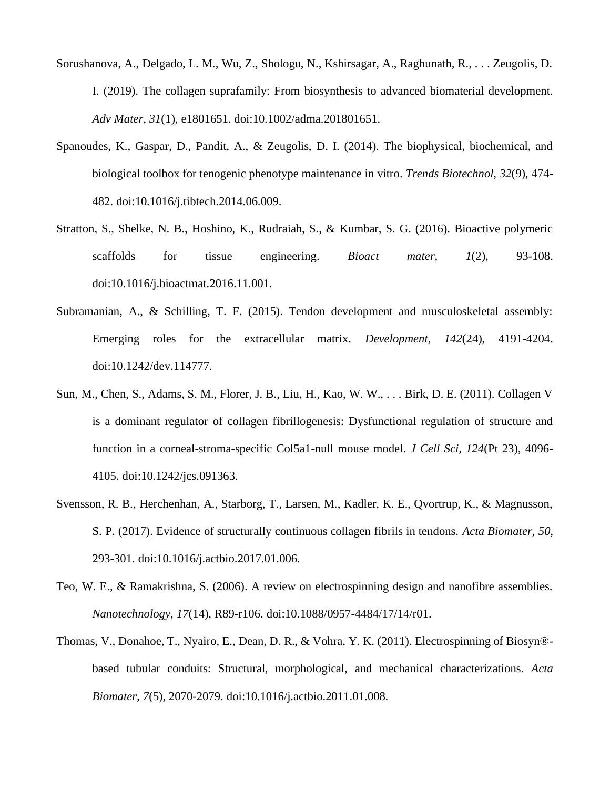- Sorushanova, A., Delgado, L. M., Wu, Z., Shologu, N., Kshirsagar, A., Raghunath, R., . . . Zeugolis, D. I. (2019). The collagen suprafamily: From biosynthesis to advanced biomaterial development. *Adv Mater, 31*(1), e1801651. doi:10.1002/adma.201801651.
- Spanoudes, K., Gaspar, D., Pandit, A., & Zeugolis, D. I. (2014). The biophysical, biochemical, and biological toolbox for tenogenic phenotype maintenance in vitro. *Trends Biotechnol, 32*(9), 474- 482. doi:10.1016/j.tibtech.2014.06.009.
- Stratton, S., Shelke, N. B., Hoshino, K., Rudraiah, S., & Kumbar, S. G. (2016). Bioactive polymeric scaffolds for tissue engineering. *Bioact mater, 1*(2), 93-108. doi:10.1016/j.bioactmat.2016.11.001.
- Subramanian, A., & Schilling, T. F. (2015). Tendon development and musculoskeletal assembly: Emerging roles for the extracellular matrix. *Development, 142*(24), 4191-4204. doi:10.1242/dev.114777.
- Sun, M., Chen, S., Adams, S. M., Florer, J. B., Liu, H., Kao, W. W., . . . Birk, D. E. (2011). Collagen V is a dominant regulator of collagen fibrillogenesis: Dysfunctional regulation of structure and function in a corneal-stroma-specific Col5a1-null mouse model. *J Cell Sci, 124*(Pt 23), 4096- 4105. doi:10.1242/jcs.091363.
- Svensson, R. B., Herchenhan, A., Starborg, T., Larsen, M., Kadler, K. E., Qvortrup, K., & Magnusson, S. P. (2017). Evidence of structurally continuous collagen fibrils in tendons. *Acta Biomater, 50*, 293-301. doi:10.1016/j.actbio.2017.01.006.
- Teo, W. E., & Ramakrishna, S. (2006). A review on electrospinning design and nanofibre assemblies. *Nanotechnology, 17*(14), R89-r106. doi:10.1088/0957-4484/17/14/r01.
- Thomas, V., Donahoe, T., Nyairo, E., Dean, D. R., & Vohra, Y. K. (2011). Electrospinning of Biosyn® based tubular conduits: Structural, morphological, and mechanical characterizations. *Acta Biomater, 7*(5), 2070-2079. doi:10.1016/j.actbio.2011.01.008.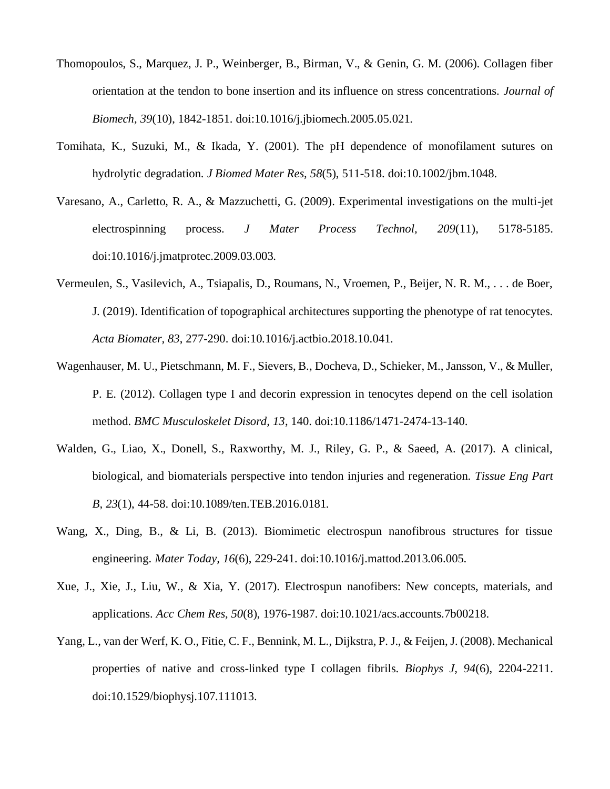- Thomopoulos, S., Marquez, J. P., Weinberger, B., Birman, V., & Genin, G. M. (2006). Collagen fiber orientation at the tendon to bone insertion and its influence on stress concentrations. *Journal of Biomech, 39*(10), 1842-1851. doi:10.1016/j.jbiomech.2005.05.021.
- Tomihata, K., Suzuki, M., & Ikada, Y. (2001). The pH dependence of monofilament sutures on hydrolytic degradation. *J Biomed Mater Res, 58*(5), 511-518. doi:10.1002/jbm.1048.
- Varesano, A., Carletto, R. A., & Mazzuchetti, G. (2009). Experimental investigations on the multi-jet electrospinning process. *J Mater Process Technol, 209*(11), 5178-5185. doi:10.1016/j.jmatprotec.2009.03.003.
- Vermeulen, S., Vasilevich, A., Tsiapalis, D., Roumans, N., Vroemen, P., Beijer, N. R. M., . . . de Boer, J. (2019). Identification of topographical architectures supporting the phenotype of rat tenocytes. *Acta Biomater, 83*, 277-290. doi:10.1016/j.actbio.2018.10.041.
- Wagenhauser, M. U., Pietschmann, M. F., Sievers, B., Docheva, D., Schieker, M., Jansson, V., & Muller, P. E. (2012). Collagen type I and decorin expression in tenocytes depend on the cell isolation method. *BMC Musculoskelet Disord, 13*, 140. doi:10.1186/1471-2474-13-140.
- Walden, G., Liao, X., Donell, S., Raxworthy, M. J., Riley, G. P., & Saeed, A. (2017). A clinical, biological, and biomaterials perspective into tendon injuries and regeneration. *Tissue Eng Part B, 23*(1), 44-58. doi:10.1089/ten.TEB.2016.0181.
- Wang, X., Ding, B., & Li, B. (2013). Biomimetic electrospun nanofibrous structures for tissue engineering. *Mater Today, 16*(6), 229-241. doi:10.1016/j.mattod.2013.06.005.
- Xue, J., Xie, J., Liu, W., & Xia, Y. (2017). Electrospun nanofibers: New concepts, materials, and applications. *Acc Chem Res, 50*(8), 1976-1987. doi:10.1021/acs.accounts.7b00218.
- Yang, L., van der Werf, K. O., Fitie, C. F., Bennink, M. L., Dijkstra, P. J., & Feijen, J. (2008). Mechanical properties of native and cross-linked type I collagen fibrils. *Biophys J, 94*(6), 2204-2211. doi:10.1529/biophysj.107.111013.